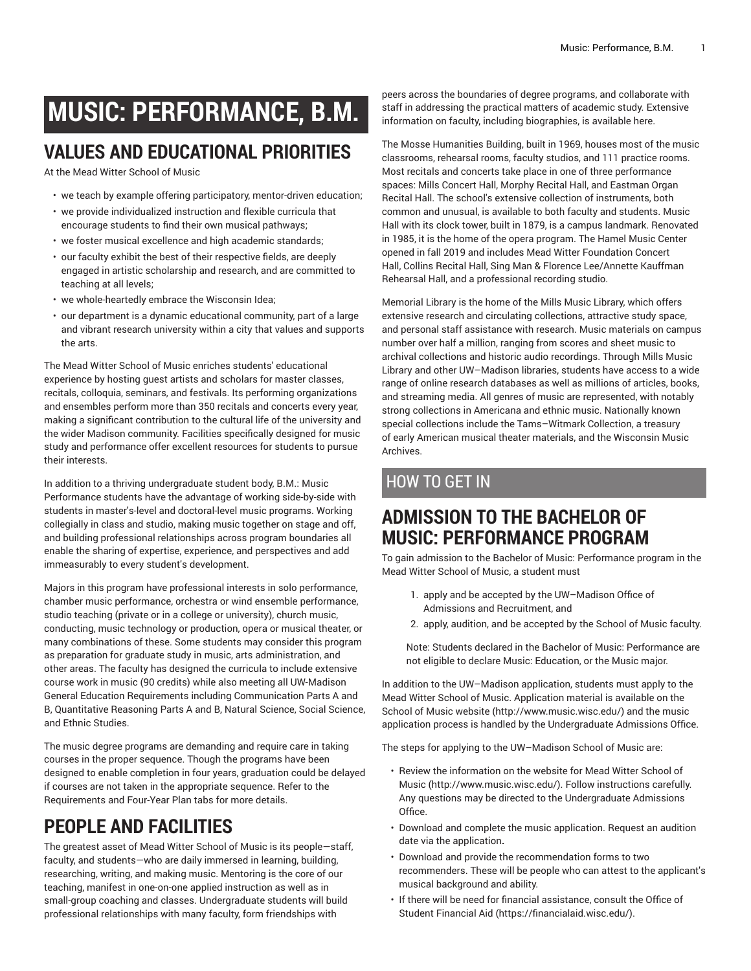# **MUSIC: PERFORMANCE, B.M.**

## **VALUES AND EDUCATIONAL PRIORITIES**

At the Mead Witter School of Music

- we teach by example offering participatory, mentor-driven education;
- we provide individualized instruction and flexible curricula that encourage students to find their own musical pathways;
- we foster musical excellence and high academic standards;
- our faculty exhibit the best of their respective fields, are deeply engaged in artistic scholarship and research, and are committed to teaching at all levels;
- we whole-heartedly embrace the Wisconsin Idea;
- our department is a dynamic educational community, part of a large and vibrant research university within a city that values and supports the arts.

The Mead Witter School of Music enriches students' educational experience by hosting guest artists and scholars for master classes, recitals, colloquia, seminars, and festivals. Its performing organizations and ensembles perform more than 350 recitals and concerts every year, making a significant contribution to the cultural life of the university and the wider Madison community. Facilities specifically designed for music study and performance offer excellent resources for students to pursue their interests.

In addition to a thriving undergraduate student body, B.M.: Music Performance students have the advantage of working side-by-side with students in master's-level and doctoral-level music programs. Working collegially in class and studio, making music together on stage and off, and building professional relationships across program boundaries all enable the sharing of expertise, experience, and perspectives and add immeasurably to every student's development.

Majors in this program have professional interests in solo performance, chamber music performance, orchestra or wind ensemble performance, studio teaching (private or in a college or university), church music, conducting, music technology or production, opera or musical theater, or many combinations of these. Some students may consider this program as preparation for graduate study in music, arts administration, and other areas. The faculty has designed the curricula to include extensive course work in music (90 credits) while also meeting all UW-Madison General Education Requirements including Communication Parts A and B, Quantitative Reasoning Parts A and B, Natural Science, Social Science, and Ethnic Studies.

The music degree programs are demanding and require care in taking courses in the proper sequence. Though the programs have been designed to enable completion in four years, graduation could be delayed if courses are not taken in the appropriate sequence. Refer to the Requirements and Four-Year Plan tabs for more details.

## **PEOPLE AND FACILITIES**

The greatest asset of Mead Witter School of Music is its people—staff, faculty, and students—who are daily immersed in learning, building, researching, writing, and making music. Mentoring is the core of our teaching, manifest in one-on-one applied instruction as well as in small-group coaching and classes. Undergraduate students will build professional relationships with many faculty, form friendships with

peers across the boundaries of degree programs, and collaborate with staff in addressing the practical matters of academic study. Extensive information on faculty, including biographies, is available here.

The Mosse Humanities Building, built in 1969, houses most of the music classrooms, rehearsal rooms, faculty studios, and 111 practice rooms. Most recitals and concerts take place in one of three performance spaces: Mills Concert Hall, Morphy Recital Hall, and Eastman Organ Recital Hall. The school's extensive collection of instruments, both common and unusual, is available to both faculty and students. Music Hall with its clock tower, built in 1879, is a campus landmark. Renovated in 1985, it is the home of the opera program. The Hamel Music Center opened in fall 2019 and includes Mead Witter Foundation Concert Hall, Collins Recital Hall, Sing Man & Florence Lee/Annette Kauffman Rehearsal Hall, and a professional recording studio.

Memorial Library is the home of the Mills Music Library, which offers extensive research and circulating collections, attractive study space, and personal staff assistance with research. Music materials on campus number over half a million, ranging from scores and sheet music to archival collections and historic audio recordings. Through Mills Music Library and other UW–Madison libraries, students have access to a wide range of online research databases as well as millions of articles, books, and streaming media. All genres of music are represented, with notably strong collections in Americana and ethnic music. Nationally known special collections include the Tams–Witmark Collection, a treasury of early American musical theater materials, and the Wisconsin Music Archives.

### HOW TO GET IN

### **ADMISSION TO THE BACHELOR OF MUSIC: PERFORMANCE PROGRAM**

To gain admission to the Bachelor of Music: Performance program in the Mead Witter School of Music, a student must

- 1. apply and be accepted by the UW–Madison Office of Admissions and Recruitment, and
- 2. apply, audition, and be accepted by the School of Music faculty.

Note: Students declared in the Bachelor of Music: Performance are not eligible to declare Music: Education, or the Music major.

In addition to the UW–Madison application, students must apply to the Mead Witter School of Music. Application material is available on the [School of Music website](http://www.music.wisc.edu/) [\(http://www.music.wisc.edu/\)](http://www.music.wisc.edu/) and the music application process is handled by the Undergraduate Admissions Office.

The steps for applying to the UW–Madison School of Music are:

- Review the information on the website for [Mead Witter School of](http://www.music.wisc.edu/) [Music](http://www.music.wisc.edu/) [\(http://www.music.wisc.edu/](http://www.music.wisc.edu/)). Follow instructions carefully. Any questions may be directed to the Undergraduate Admissions Office.
- Download and complete the music application. Request an audition date via the application**.**
- Download and provide the recommendation forms to two recommenders. These will be people who can attest to the applicant's musical background and ability.
- If there will be need for financial assistance, consult the [Office of](https://financialaid.wisc.edu/) [Student Financial Aid](https://financialaid.wisc.edu/) (<https://financialaid.wisc.edu/>).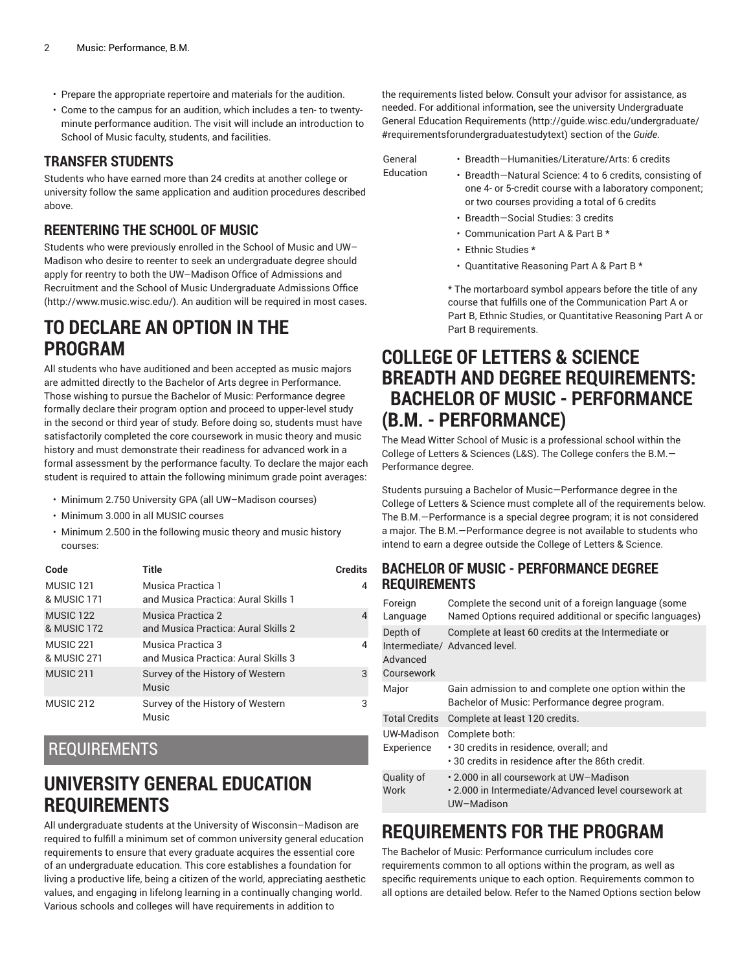- Prepare the appropriate repertoire and materials for the audition.
- Come to the campus for an audition, which includes a ten- to twentyminute performance audition. The visit will include an introduction to School of Music faculty, students, and facilities.

#### **TRANSFER STUDENTS**

Students who have earned more than 24 credits at another college or university follow the same application and audition procedures described above.

#### **REENTERING THE SCHOOL OF MUSIC**

Students who were previously enrolled in the School of Music and UW– Madison who desire to reenter to seek an undergraduate degree should apply for reentry to both the UW–Madison Office of Admissions and Recruitment and the School of Music [Undergraduate](http://www.music.wisc.edu/) Admissions Office (<http://www.music.wisc.edu/>). An audition will be required in most cases.

### **TO DECLARE AN OPTION IN THE PROGRAM**

All students who have auditioned and been accepted as music majors are admitted directly to the Bachelor of Arts degree in Performance. Those wishing to pursue the Bachelor of Music: Performance degree formally declare their program option and proceed to upper-level study in the second or third year of study. Before doing so, students must have satisfactorily completed the core coursework in music theory and music history and must demonstrate their readiness for advanced work in a formal assessment by the performance faculty. To declare the major each student is required to attain the following minimum grade point averages:

- Minimum 2.750 University GPA (all UW–Madison courses)
- Minimum 3.000 in all MUSIC courses
- Minimum 2.500 in the following music theory and music history courses:

| Code                                | Title                                                    | <b>Credits</b> |
|-------------------------------------|----------------------------------------------------------|----------------|
| MUSIC <sub>121</sub><br>& MUSIC 171 | Musica Practica 1<br>and Musica Practica: Aural Skills 1 | 4              |
| MUSIC <sub>122</sub><br>& MUSIC 172 | Musica Practica 2<br>and Musica Practica: Aural Skills 2 | $\overline{4}$ |
| MUSIC <sub>221</sub><br>& MUSIC 271 | Musica Practica 3<br>and Musica Practica: Aural Skills 3 | 4              |
| MUSIC 211                           | Survey of the History of Western<br><b>Music</b>         | 3              |
| MUSIC 212                           | Survey of the History of Western<br>Music                | 3              |

### REQUIREMENTS

### **UNIVERSITY GENERAL EDUCATION REQUIREMENTS**

All undergraduate students at the University of Wisconsin–Madison are required to fulfill a minimum set of common university general education requirements to ensure that every graduate acquires the essential core of an undergraduate education. This core establishes a foundation for living a productive life, being a citizen of the world, appreciating aesthetic values, and engaging in lifelong learning in a continually changing world. Various schools and colleges will have requirements in addition to

the requirements listed below. Consult your advisor for assistance, as needed. For additional information, see the university Undergraduate General Education [Requirements](http://guide.wisc.edu/undergraduate/#requirementsforundergraduatestudytext) ([http://guide.wisc.edu/undergraduate/](http://guide.wisc.edu/undergraduate/#requirementsforundergraduatestudytext) [#requirementsforundergraduatestudytext](http://guide.wisc.edu/undergraduate/#requirementsforundergraduatestudytext)) section of the *Guide*.

General

- Breadth—Humanities/Literature/Arts: 6 credits
- Education • Breadth—Natural Science: 4 to 6 credits, consisting of one 4- or 5-credit course with a laboratory component; or two courses providing a total of 6 credits
	- Breadth—Social Studies: 3 credits
	- Communication Part A & Part B \*
	- Ethnic Studies \*
	- Quantitative Reasoning Part A & Part B \*

\* The mortarboard symbol appears before the title of any course that fulfills one of the Communication Part A or Part B, Ethnic Studies, or Quantitative Reasoning Part A or Part B requirements.

### **COLLEGE OF LETTERS & SCIENCE BREADTH AND DEGREE REQUIREMENTS: BACHELOR OF MUSIC - PERFORMANCE (B.M. - PERFORMANCE)**

The Mead Witter School of Music is a professional school within the College of Letters & Sciences (L&S). The College confers the B.M.— Performance degree.

Students pursuing a Bachelor of Music—Performance degree in the College of Letters & Science must complete all of the requirements below. The B.M.—Performance is a special degree program; it is not considered a major. The B.M.—Performance degree is not available to students who intend to earn a degree outside the College of Letters & Science.

#### **BACHELOR OF MUSIC - PERFORMANCE DEGREE REQUIREMENTS**

| Foreign<br>Language                | Complete the second unit of a foreign language (some<br>Named Options required additional or specific languages)    |
|------------------------------------|---------------------------------------------------------------------------------------------------------------------|
| Depth of<br>Advanced<br>Coursework | Complete at least 60 credits at the Intermediate or<br>Intermediate/ Advanced level.                                |
| Major                              | Gain admission to and complete one option within the<br>Bachelor of Music: Performance degree program.              |
| <b>Total Credits</b>               | Complete at least 120 credits.                                                                                      |
| UW-Madison<br>Experience           | Complete both:<br>· 30 credits in residence, overall; and<br>$\cdot$ 30 credits in residence after the 86th credit. |
| Quality of<br>Work                 | • 2.000 in all coursework at UW–Madison<br>• 2.000 in Intermediate/Advanced level coursework at<br>UW-Madison       |

### **REQUIREMENTS FOR THE PROGRAM**

The Bachelor of Music: Performance curriculum includes core requirements common to all options within the program, as well as specific requirements unique to each option. Requirements common to all options are detailed below. Refer to the Named Options section below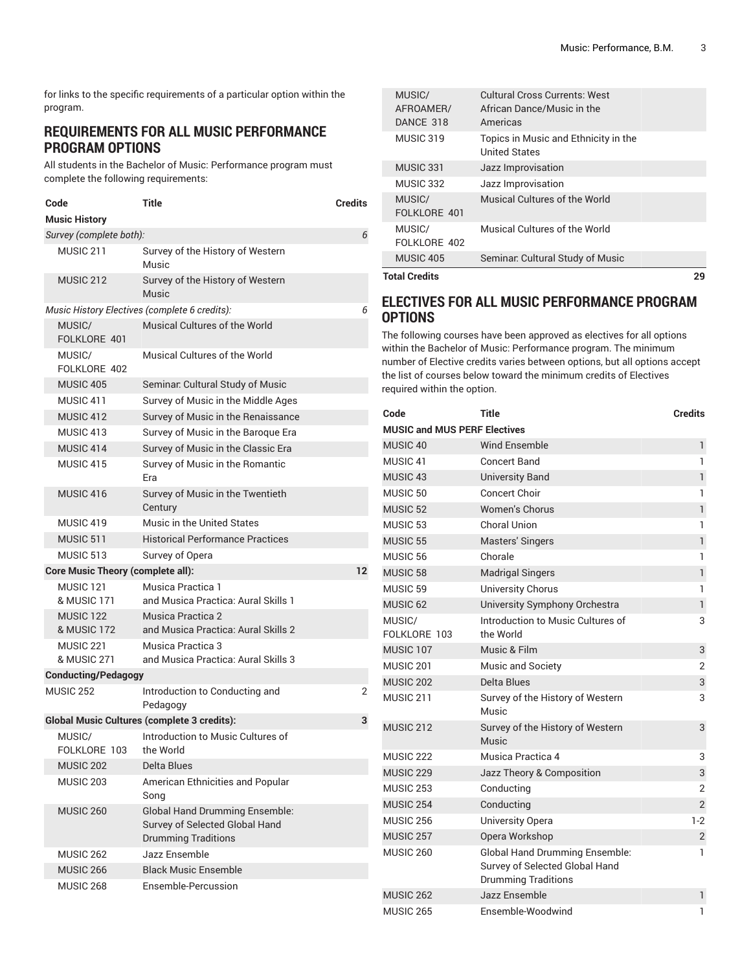for links to the specific requirements of a particular option within the program.

#### **REQUIREMENTS FOR ALL MUSIC PERFORMANCE PROGRAM OPTIONS**

All students in the Bachelor of Music: Performance program must complete the following requirements:

| Code                                | Title                                              | <b>Credits</b>                                                          |
|-------------------------------------|----------------------------------------------------|-------------------------------------------------------------------------|
| <b>Music History</b>                |                                                    |                                                                         |
| Survey (complete both):             |                                                    | 6                                                                       |
| MUSIC 211                           | Music                                              | Survey of the History of Western                                        |
| <b>MUSIC 212</b>                    | Music                                              | Survey of the History of Western                                        |
|                                     | Music History Electives (complete 6 credits):      | 6                                                                       |
| MUSIC/<br>FOLKLORE 401              | Musical Cultures of the World                      |                                                                         |
| MUSIC/<br>FOLKLORE 402              | Musical Cultures of the World                      |                                                                         |
| <b>MUSIC 405</b>                    |                                                    | Seminar. Cultural Study of Music                                        |
| MUSIC 411                           |                                                    | Survey of Music in the Middle Ages                                      |
| MUSIC 412                           |                                                    | Survey of Music in the Renaissance                                      |
| MUSIC 413                           |                                                    | Survey of Music in the Baroque Era                                      |
| MUSIC 414                           |                                                    | Survey of Music in the Classic Era                                      |
| MUSIC 415                           | Era                                                | Survey of Music in the Romantic                                         |
| MUSIC 416                           | Century                                            | Survey of Music in the Twentieth                                        |
| MUSIC 419                           | Music in the United States                         |                                                                         |
| MUSIC 511                           |                                                    | <b>Historical Performance Practices</b>                                 |
| MUSIC 513                           | Survey of Opera                                    |                                                                         |
|                                     | <b>Core Music Theory (complete all):</b>           | 12                                                                      |
| MUSIC 121<br>& MUSIC 171            | Musica Practica 1                                  | and Musica Practica: Aural Skills 1                                     |
| MUSIC <sub>122</sub><br>& MUSIC 172 | Musica Practica 2                                  | and Musica Practica: Aural Skills 2                                     |
| MUSIC <sub>221</sub><br>& MUSIC 271 | Musica Practica 3                                  | and Musica Practica: Aural Skills 3                                     |
| <b>Conducting/Pedagogy</b>          |                                                    |                                                                         |
| <b>MUSIC 252</b>                    | Pedagogy                                           | Introduction to Conducting and<br>2                                     |
|                                     | <b>Global Music Cultures (complete 3 credits):</b> | 3                                                                       |
| MUSIC/<br>FOLKLORE 103              | the World                                          | Introduction to Music Cultures of                                       |
| <b>MUSIC 202</b>                    | Delta Blues                                        |                                                                         |
| MUSIC 203                           | Song                                               | American Ethnicities and Popular                                        |
| <b>MUSIC 260</b>                    | <b>Drumming Traditions</b>                         | <b>Global Hand Drumming Ensemble:</b><br>Survey of Selected Global Hand |
| MUSIC 262                           | Jazz Ensemble                                      |                                                                         |
| MUSIC 266                           | <b>Black Music Ensemble</b>                        |                                                                         |
| MUSIC 268                           | Ensemble-Percussion                                |                                                                         |

| <b>Total Credits</b>             |                                                                         | 29 |
|----------------------------------|-------------------------------------------------------------------------|----|
| <b>MUSIC 405</b>                 | Seminar. Cultural Study of Music                                        |    |
| MUSIC/<br>FOLKLORE 402           | Musical Cultures of the World                                           |    |
| MUSIC/<br>FOLKLORE 401           | Musical Cultures of the World                                           |    |
| MUSIC 332                        | Jazz Improvisation                                                      |    |
| MUSIC 331                        | Jazz Improvisation                                                      |    |
| MUSIC 319                        | Topics in Music and Ethnicity in the<br><b>United States</b>            |    |
| MUSIC/<br>AFROAMER/<br>DANCE 318 | Cultural Cross Currents: West<br>African Dance/Music in the<br>Americas |    |

#### **ELECTIVES FOR ALL MUSIC PERFORMANCE PROGRAM OPTIONS**

The following courses have been approved as electives for all options within the Bachelor of Music: Performance program. The minimum number of Elective credits varies between options, but all options accept the list of courses below toward the minimum credits of Electives required within the option.

| Code                   | <b>Title</b>                                                                                          | <b>Credits</b> |  |  |  |
|------------------------|-------------------------------------------------------------------------------------------------------|----------------|--|--|--|
|                        | <b>MUSIC and MUS PERF Electives</b>                                                                   |                |  |  |  |
| MUSIC <sub>40</sub>    | <b>Wind Ensemble</b>                                                                                  | $\mathbf{1}$   |  |  |  |
| MUSIC <sub>41</sub>    | <b>Concert Band</b>                                                                                   | 1              |  |  |  |
| MUSIC <sub>43</sub>    | <b>University Band</b>                                                                                | $\mathbf{1}$   |  |  |  |
| MUSIC <sub>50</sub>    | <b>Concert Choir</b>                                                                                  | 1              |  |  |  |
| MUSIC <sub>52</sub>    | Women's Chorus                                                                                        | $\mathbf{1}$   |  |  |  |
| MUSIC 53               | <b>Choral Union</b>                                                                                   | 1              |  |  |  |
| MUSIC <sub>55</sub>    | Masters' Singers                                                                                      | $\mathbf{1}$   |  |  |  |
| MUSIC <sub>56</sub>    | Chorale                                                                                               | 1              |  |  |  |
| <b>MUSIC 58</b>        | <b>Madrigal Singers</b>                                                                               | $\mathbf{1}$   |  |  |  |
| MUSIC <sub>59</sub>    | <b>University Chorus</b>                                                                              | 1              |  |  |  |
| MUSIC <sub>62</sub>    | University Symphony Orchestra                                                                         | $\mathbf{1}$   |  |  |  |
| MUSIC/<br>FOLKLORE 103 | Introduction to Music Cultures of<br>the World                                                        | 3              |  |  |  |
| MUSIC 107              | Music & Film                                                                                          | 3              |  |  |  |
| MUSIC <sub>201</sub>   | <b>Music and Society</b>                                                                              | 2              |  |  |  |
| MUSIC <sub>202</sub>   | Delta Blues                                                                                           | 3              |  |  |  |
| MUSIC <sub>211</sub>   | Survey of the History of Western<br>Music                                                             | 3              |  |  |  |
| MUSIC <sub>212</sub>   | Survey of the History of Western<br>Music                                                             | 3              |  |  |  |
| MUSIC <sub>222</sub>   | Musica Practica 4                                                                                     | 3              |  |  |  |
| <b>MUSIC 229</b>       | Jazz Theory & Composition                                                                             | 3              |  |  |  |
| <b>MUSIC 253</b>       | Conducting                                                                                            | $\overline{2}$ |  |  |  |
| MUSIC <sub>254</sub>   | Conducting                                                                                            | $\overline{2}$ |  |  |  |
| <b>MUSIC 256</b>       | University Opera                                                                                      | $1-2$          |  |  |  |
| MUSIC <sub>257</sub>   | Opera Workshop                                                                                        | $\overline{2}$ |  |  |  |
| MUSIC <sub>260</sub>   | <b>Global Hand Drumming Ensemble:</b><br>Survey of Selected Global Hand<br><b>Drumming Traditions</b> | 1              |  |  |  |
| MUSIC <sub>262</sub>   | Jazz Ensemble                                                                                         | $\mathbf{1}$   |  |  |  |
| <b>MUSIC 265</b>       | Ensemble-Woodwind                                                                                     | 1              |  |  |  |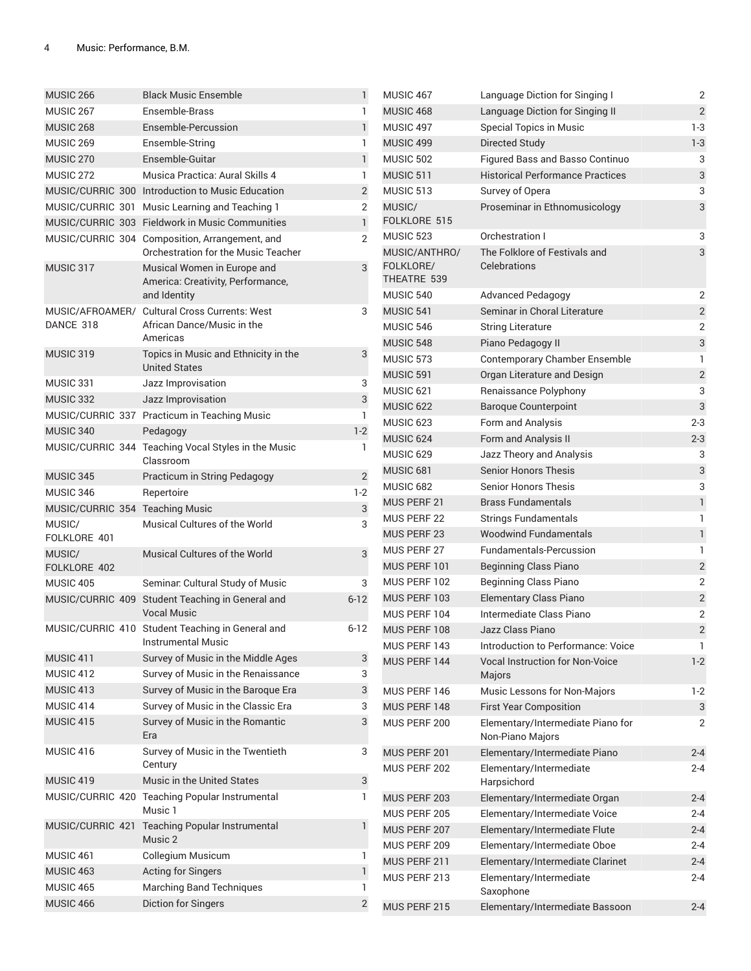| <b>MUSIC 266</b>                | <b>Black Music Ensemble</b>                                                           | 1              | <b>MUSIC</b>                             |
|---------------------------------|---------------------------------------------------------------------------------------|----------------|------------------------------------------|
| MUSIC <sub>267</sub>            | Ensemble-Brass                                                                        | 1              | <b>MUSIC</b>                             |
| <b>MUSIC 268</b>                | Ensemble-Percussion                                                                   | $\mathbf{1}$   | <b>MUSIC4</b>                            |
| MUSIC 269                       | Ensemble-String                                                                       | 1              | <b>MUSIC</b>                             |
| MUSIC <sub>270</sub>            | Ensemble-Guitar                                                                       | $\mathbf{1}$   | MUSIC!                                   |
| MUSIC 272                       | Musica Practica: Aural Skills 4                                                       | 1              | <b>MUSIC!</b>                            |
|                                 | MUSIC/CURRIC 300 Introduction to Music Education                                      | 2              | MUSIC!                                   |
|                                 | MUSIC/CURRIC 301 Music Learning and Teaching 1                                        | 2              | MUSIC/                                   |
|                                 | MUSIC/CURRIC 303 Fieldwork in Music Communities                                       | $\mathbf{1}$   | <b>FOLKLO</b>                            |
|                                 | MUSIC/CURRIC 304 Composition, Arrangement, and<br>Orchestration for the Music Teacher | 2              | MUSIC!<br>MUSIC/                         |
| MUSIC 317                       | Musical Women in Europe and<br>America: Creativity, Performance,<br>and Identity      | 3              | <b>FOLKLO</b><br><b>THEATF</b><br>MUSIC! |
|                                 | MUSIC/AFROAMER/ Cultural Cross Currents: West                                         | 3              | <b>MUSIC!</b>                            |
| DANCE 318                       | African Dance/Music in the                                                            |                | MUSIC!                                   |
|                                 | Americas                                                                              |                | MUSIC!                                   |
| MUSIC 319                       | Topics in Music and Ethnicity in the<br><b>United States</b>                          | 3              | MUSIC!<br><b>MUSIC!</b>                  |
| MUSIC 331                       | Jazz Improvisation                                                                    | 3              | MUSIC <sup>6</sup>                       |
| MUSIC 332                       | Jazz Improvisation                                                                    | 3              | <b>MUSIC</b>                             |
|                                 | MUSIC/CURRIC 337 Practicum in Teaching Music                                          | 1              | <b>MUSIC</b>                             |
| MUSIC 340                       | Pedagogy                                                                              | $1-2$          | <b>MUSIC6</b>                            |
|                                 | MUSIC/CURRIC 344 Teaching Vocal Styles in the Music<br>Classroom                      | 1              | <b>MUSIC6</b>                            |
| MUSIC 345                       | Practicum in String Pedagogy                                                          | $\overline{2}$ | <b>MUSIC6</b>                            |
| MUSIC 346                       | Repertoire                                                                            | $1-2$          | <b>MUSIC6</b>                            |
| MUSIC/CURRIC 354 Teaching Music |                                                                                       | 3              | <b>MUS PE</b>                            |
| MUSIC/<br>FOLKLORE 401          | Musical Cultures of the World                                                         | 3              | <b>MUS PE</b><br><b>MUS PE</b>           |
| MUSIC/                          | Musical Cultures of the World                                                         | 3              | <b>MUS PE</b>                            |
| FOLKLORE 402                    |                                                                                       |                | <b>MUS PE</b>                            |
| MUSIC 405                       | Seminar. Cultural Study of Music                                                      | 3              | <b>MUS PE</b>                            |
|                                 | MUSIC/CURRIC 409 Student Teaching in General and<br>Vocal Music                       | $6 - 12$       | <b>MUS PE</b><br><b>MUS PE</b>           |
|                                 | MUSIC/CURRIC 410 Student Teaching in General and                                      | $6 - 12$       | <b>MUS PE</b>                            |
|                                 | <b>Instrumental Music</b>                                                             |                | <b>MUS PE</b>                            |
| MUSIC 411                       | Survey of Music in the Middle Ages                                                    | 3              | <b>MUS PE</b>                            |
| MUSIC 412                       | Survey of Music in the Renaissance                                                    | 3              |                                          |
| MUSIC 413                       | Survey of Music in the Baroque Era                                                    | 3              | <b>MUS PE</b>                            |
| MUSIC 414                       | Survey of Music in the Classic Era                                                    | 3              | <b>MUS PE</b>                            |
| MUSIC <sub>415</sub>            | Survey of Music in the Romantic<br>Era                                                | 3              | <b>MUS PE</b>                            |
| MUSIC 416                       | Survey of Music in the Twentieth<br>Century                                           | 3              | <b>MUS PE</b><br><b>MUS PE</b>           |
| MUSIC 419                       | Music in the United States                                                            | 3              |                                          |
|                                 | MUSIC/CURRIC 420 Teaching Popular Instrumental<br>Music 1                             | 1              | <b>MUS PE</b>                            |
| MUSIC/CURRIC 421                |                                                                                       | 1              | <b>MUS PE</b>                            |
|                                 | <b>Teaching Popular Instrumental</b><br>Music 2                                       |                | <b>MUS PE</b>                            |
| MUSIC 461                       | Collegium Musicum                                                                     | 1              | <b>MUS PE</b>                            |
| MUSIC 463                       | <b>Acting for Singers</b>                                                             | $\mathbf{1}$   | <b>MUS PE</b>                            |
| MUSIC 465                       | <b>Marching Band Techniques</b>                                                       | 1              | <b>MUS PE</b>                            |
| MUSIC 466                       | Diction for Singers                                                                   | $\overline{2}$ | MUS PE                                   |

| MUSIC 467                                 | Language Diction for Singing I                        | 2              |
|-------------------------------------------|-------------------------------------------------------|----------------|
| MUSIC 468                                 | Language Diction for Singing II                       | $\overline{2}$ |
| MUSIC 497                                 | Special Topics in Music                               | $1-3$          |
| <b>MUSIC 499</b>                          | Directed Study                                        | $1-3$          |
| <b>MUSIC 502</b>                          | Figured Bass and Basso Continuo                       | 3              |
| MUSIC 511                                 | <b>Historical Performance Practices</b>               | 3              |
| MUSIC 513                                 | Survey of Opera                                       | 3              |
| MUSIC/<br>FOLKLORE 515                    | Proseminar in Ethnomusicology                         | 3              |
| MUSIC 523                                 | Orchestration I                                       | 3              |
| MUSIC/ANTHRO/<br>FOLKLORE/<br>THEATRE 539 | The Folklore of Festivals and<br>Celebrations         | 3              |
| MUSIC 540                                 | <b>Advanced Pedagogy</b>                              | 2              |
| MUSIC 541                                 | Seminar in Choral Literature                          | $\overline{c}$ |
| MUSIC 546                                 | <b>String Literature</b>                              | 2              |
| <b>MUSIC 548</b>                          | Piano Pedagogy II                                     | 3              |
| MUSIC 573                                 | Contemporary Chamber Ensemble                         | 1              |
| MUSIC 591                                 | Organ Literature and Design                           | 2              |
| MUSIC 621                                 | Renaissance Polyphony                                 | 3              |
| MUSIC <sub>622</sub>                      | <b>Baroque Counterpoint</b>                           | 3              |
| MUSIC 623                                 | Form and Analysis                                     | 2-3            |
| MUSIC 624                                 | Form and Analysis II                                  | $2 - 3$        |
| MUSIC 629                                 | Jazz Theory and Analysis                              | 3              |
| MUSIC 681                                 | <b>Senior Honors Thesis</b>                           | 3              |
| MUSIC 682                                 | <b>Senior Honors Thesis</b>                           | 3              |
| <b>MUS PERF 21</b>                        | <b>Brass Fundamentals</b>                             | $\mathbf{1}$   |
| MUS PERF 22                               | Strings Fundamentals                                  | 1              |
| MUS PERF 23                               | <b>Woodwind Fundamentals</b>                          | $\mathbf{1}$   |
| MUS PERF 27                               | <b>Fundamentals-Percussion</b>                        | 1              |
| MUS PERF 101                              | <b>Beginning Class Piano</b>                          | 2              |
| MUS PERF 102                              | Beginning Class Piano                                 | $\overline{2}$ |
| MUS PERF 103                              | <b>Elementary Class Piano</b>                         | $\overline{c}$ |
| MUS PERF 104                              | Intermediate Class Piano                              | 2              |
| MUS PERF 108                              | Jazz Class Piano                                      | $\overline{2}$ |
| MUS PERF 143                              | Introduction to Performance: Voice                    | 1              |
| MUS PERF 144                              | <b>Vocal Instruction for Non-Voice</b><br>Majors      | $1-2$          |
| MUS PERF 146                              | Music Lessons for Non-Majors                          | 1-2            |
| MUS PERF 148                              | <b>First Year Composition</b>                         | 3              |
| MUS PERF 200                              | Elementary/Intermediate Piano for<br>Non-Piano Majors | 2              |
| MUS PERF 201                              | Elementary/Intermediate Piano                         | $2 - 4$        |
| MUS PERF 202                              | Elementary/Intermediate<br>Harpsichord                | 2-4            |
| MUS PERF 203                              | Elementary/Intermediate Organ                         | 2-4            |
| MUS PERF 205                              | Elementary/Intermediate Voice                         | 2-4            |
| MUS PERF 207                              | Elementary/Intermediate Flute                         | $2 - 4$        |
| MUS PERF 209                              | Elementary/Intermediate Oboe                          | 2-4            |
| MUS PERF 211                              | Elementary/Intermediate Clarinet                      | $2 - 4$        |
| MUS PERF 213                              | Elementary/Intermediate<br>Saxophone                  | 2-4            |
| MUS PERF 215                              | Elementary/Intermediate Bassoon                       | $2 - 4$        |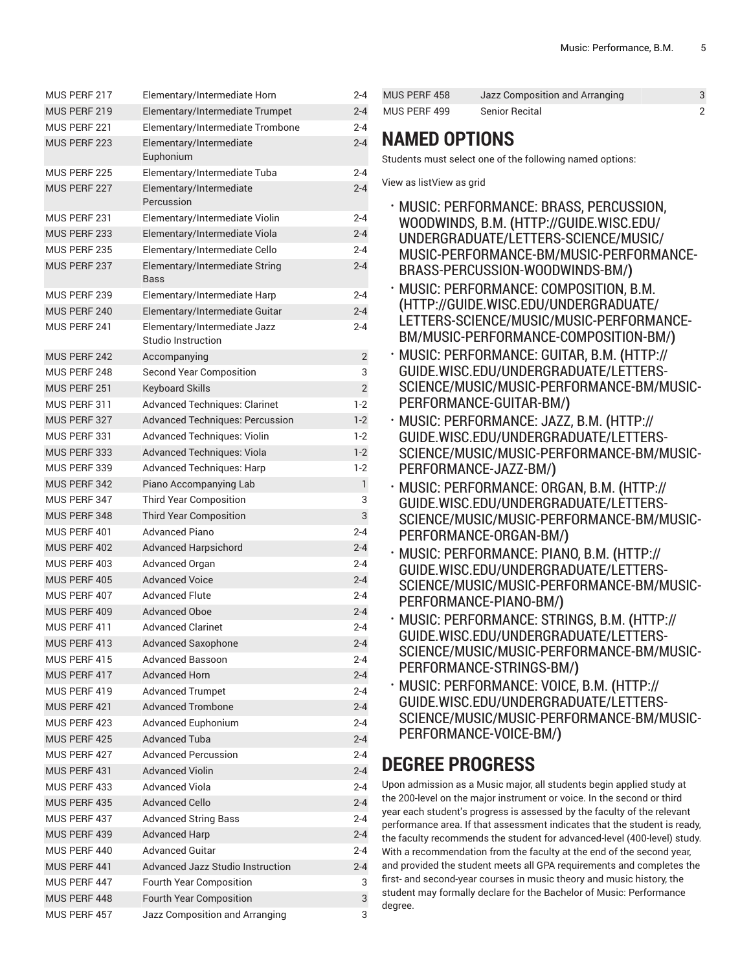| MUS PERF 217 | Elementary/Intermediate Horn                       | $2 - 4$        |
|--------------|----------------------------------------------------|----------------|
| MUS PERF 219 | Elementary/Intermediate Trumpet                    | $2 - 4$        |
| MUS PERF 221 | Elementary/Intermediate Trombone                   | $2 - 4$        |
| MUS PERF 223 | Elementary/Intermediate<br>Euphonium               | $2 - 4$        |
| MUS PERF 225 | Elementary/Intermediate Tuba                       | $2 - 4$        |
| MUS PERF 227 | Elementary/Intermediate<br>Percussion              | $2 - 4$        |
| MUS PERF 231 | Elementary/Intermediate Violin                     | $2 - 4$        |
| MUS PERF 233 | Elementary/Intermediate Viola                      | $2 - 4$        |
| MUS PERF 235 | Elementary/Intermediate Cello                      | $2 - 4$        |
| MUS PERF 237 | Elementary/Intermediate String<br>Bass             | $2 - 4$        |
| MUS PERF 239 | Elementary/Intermediate Harp                       | $2 - 4$        |
| MUS PERF 240 | Elementary/Intermediate Guitar                     | $2 - 4$        |
| MUS PERF 241 | Elementary/Intermediate Jazz<br>Studio Instruction | $2 - 4$        |
| MUS PERF 242 | Accompanying                                       | 2              |
| MUS PERF 248 | <b>Second Year Composition</b>                     | 3              |
| MUS PERF 251 | <b>Keyboard Skills</b>                             | $\overline{2}$ |
| MUS PERF 311 | <b>Advanced Techniques: Clarinet</b>               | $1-2$          |
| MUS PERF 327 | <b>Advanced Techniques: Percussion</b>             | $1-2$          |
| MUS PERF 331 | <b>Advanced Techniques: Violin</b>                 | $1-2$          |
| MUS PERF 333 | <b>Advanced Techniques: Viola</b>                  | $1-2$          |
| MUS PERF 339 | <b>Advanced Techniques: Harp</b>                   | $1-2$          |
| MUS PERF 342 | Piano Accompanying Lab                             | 1              |
| MUS PERF 347 | <b>Third Year Composition</b>                      | 3              |
| MUS PERF 348 | <b>Third Year Composition</b>                      | 3              |
| MUS PERF 401 | <b>Advanced Piano</b>                              | $2 - 4$        |
| MUS PERF 402 | <b>Advanced Harpsichord</b>                        | $2 - 4$        |
| MUS PERF 403 | Advanced Organ                                     | $2 - 4$        |
| MUS PERF 405 | <b>Advanced Voice</b>                              | $2 - 4$        |
| MUS PERF 407 | <b>Advanced Flute</b>                              | 2-4            |
| MUS PERF 409 | <b>Advanced Oboe</b>                               | $2 - 4$        |
| MUS PERF 411 | <b>Advanced Clarinet</b>                           | $2 - 4$        |
| MUS PERF 413 | <b>Advanced Saxophone</b>                          | $2 - 4$        |
| MUS PERF 415 | Advanced Bassoon                                   | $2 - 4$        |
| MUS PERF 417 | <b>Advanced Horn</b>                               | $2 - 4$        |
| MUS PERF 419 | <b>Advanced Trumpet</b>                            | $2 - 4$        |
| MUS PERF 421 | <b>Advanced Trombone</b>                           | $2 - 4$        |
| MUS PERF 423 | Advanced Euphonium                                 | $2 - 4$        |
| MUS PERF 425 | <b>Advanced Tuba</b>                               | $2 - 4$        |
| MUS PERF 427 | <b>Advanced Percussion</b>                         | $2 - 4$        |
| MUS PERF 431 | <b>Advanced Violin</b>                             | $2 - 4$        |
| MUS PERF 433 | <b>Advanced Viola</b>                              | $2 - 4$        |
| MUS PERF 435 | <b>Advanced Cello</b>                              | $2 - 4$        |
| MUS PERF 437 | <b>Advanced String Bass</b>                        | $2 - 4$        |
| MUS PERF 439 | <b>Advanced Harp</b>                               | $2 - 4$        |
| MUS PERF 440 | <b>Advanced Guitar</b>                             | $2 - 4$        |
| MUS PERF 441 | <b>Advanced Jazz Studio Instruction</b>            | 2-4            |
| MUS PERF 447 | Fourth Year Composition                            | 3              |
| MUS PERF 448 | Fourth Year Composition                            | 3              |
| MUS PERF 457 | Jazz Composition and Arranging                     | 3              |

| MUS PERF 458 | Jazz Composition and Arranging |  |
|--------------|--------------------------------|--|
| MUS PERF 499 | Senior Recital                 |  |

### **NAMED OPTIONS**

Students must select one of the following named options:

View as listView as grid

- MUSIC: [PERFORMANCE:](http://guide.wisc.edu/undergraduate/letters-science/music/music-performance-bm/music-performance-brass-percussion-woodwinds-bm/) BRASS, PERCUSSION, [WOODWINDS, B.M.](http://guide.wisc.edu/undergraduate/letters-science/music/music-performance-bm/music-performance-brass-percussion-woodwinds-bm/) **(**[HTTP://GUIDE.WISC.EDU/](http://guide.wisc.edu/undergraduate/letters-science/music/music-performance-bm/music-performance-brass-percussion-woodwinds-bm/) [UNDERGRADUATE/LETTERS-SCIENCE/MUSIC/](http://guide.wisc.edu/undergraduate/letters-science/music/music-performance-bm/music-performance-brass-percussion-woodwinds-bm/) [MUSIC-PERFORMANCE-BM/MUSIC-PERFORMANCE-](http://guide.wisc.edu/undergraduate/letters-science/music/music-performance-bm/music-performance-brass-percussion-woodwinds-bm/)[BRASS-PERCUSSION-WOODWINDS-BM/](http://guide.wisc.edu/undergraduate/letters-science/music/music-performance-bm/music-performance-brass-percussion-woodwinds-bm/)**)**
- MUSIC: [PERFORMANCE:](http://guide.wisc.edu/undergraduate/letters-science/music/music-performance-bm/music-performance-composition-bm/) COMPOSITION, B.M. **(**[HTTP://GUIDE.WISC.EDU/UNDERGRADUATE/](http://guide.wisc.edu/undergraduate/letters-science/music/music-performance-bm/music-performance-composition-bm/) [LETTERS-SCIENCE/MUSIC/MUSIC-PERFORMANCE-](http://guide.wisc.edu/undergraduate/letters-science/music/music-performance-bm/music-performance-composition-bm/)[BM/MUSIC-PERFORMANCE-COMPOSITION-BM/](http://guide.wisc.edu/undergraduate/letters-science/music/music-performance-bm/music-performance-composition-bm/)**)**
- MUSIC: [PERFORMANCE:](http://guide.wisc.edu/undergraduate/letters-science/music/music-performance-bm/music-performance-guitar-bm/) GUITAR, B.M. **(**[HTTP://](http://guide.wisc.edu/undergraduate/letters-science/music/music-performance-bm/music-performance-guitar-bm/) [GUIDE.WISC.EDU/UNDERGRADUATE/LETTERS-](http://guide.wisc.edu/undergraduate/letters-science/music/music-performance-bm/music-performance-guitar-bm/)[SCIENCE/MUSIC/MUSIC-PERFORMANCE-BM/MUSIC-](http://guide.wisc.edu/undergraduate/letters-science/music/music-performance-bm/music-performance-guitar-bm/)[PERFORMANCE-GUITAR-BM/](http://guide.wisc.edu/undergraduate/letters-science/music/music-performance-bm/music-performance-guitar-bm/)**)**
- MUSIC: [PERFORMANCE:](http://guide.wisc.edu/undergraduate/letters-science/music/music-performance-bm/music-performance-jazz-bm/) JAZZ, B.M. **(**[HTTP://](http://guide.wisc.edu/undergraduate/letters-science/music/music-performance-bm/music-performance-jazz-bm/) [GUIDE.WISC.EDU/UNDERGRADUATE/LETTERS-](http://guide.wisc.edu/undergraduate/letters-science/music/music-performance-bm/music-performance-jazz-bm/)[SCIENCE/MUSIC/MUSIC-PERFORMANCE-BM/MUSIC-](http://guide.wisc.edu/undergraduate/letters-science/music/music-performance-bm/music-performance-jazz-bm/)[PERFORMANCE-JAZZ-BM/](http://guide.wisc.edu/undergraduate/letters-science/music/music-performance-bm/music-performance-jazz-bm/)**)**
- MUSIC: [PERFORMANCE:](http://guide.wisc.edu/undergraduate/letters-science/music/music-performance-bm/music-performance-organ-bm/) ORGAN, B.M. **(**[HTTP://](http://guide.wisc.edu/undergraduate/letters-science/music/music-performance-bm/music-performance-organ-bm/) [GUIDE.WISC.EDU/UNDERGRADUATE/LETTERS-](http://guide.wisc.edu/undergraduate/letters-science/music/music-performance-bm/music-performance-organ-bm/)[SCIENCE/MUSIC/MUSIC-PERFORMANCE-BM/MUSIC-](http://guide.wisc.edu/undergraduate/letters-science/music/music-performance-bm/music-performance-organ-bm/)[PERFORMANCE-ORGAN-BM/](http://guide.wisc.edu/undergraduate/letters-science/music/music-performance-bm/music-performance-organ-bm/)**)**
- MUSIC: [PERFORMANCE:](http://guide.wisc.edu/undergraduate/letters-science/music/music-performance-bm/music-performance-piano-bm/) PIANO, B.M. **(**[HTTP://](http://guide.wisc.edu/undergraduate/letters-science/music/music-performance-bm/music-performance-piano-bm/) [GUIDE.WISC.EDU/UNDERGRADUATE/LETTERS-](http://guide.wisc.edu/undergraduate/letters-science/music/music-performance-bm/music-performance-piano-bm/)[SCIENCE/MUSIC/MUSIC-PERFORMANCE-BM/MUSIC-](http://guide.wisc.edu/undergraduate/letters-science/music/music-performance-bm/music-performance-piano-bm/)[PERFORMANCE-PIANO-BM/](http://guide.wisc.edu/undergraduate/letters-science/music/music-performance-bm/music-performance-piano-bm/)**)**
- MUSIC: [PERFORMANCE:](http://guide.wisc.edu/undergraduate/letters-science/music/music-performance-bm/music-performance-strings-bm/) STRINGS, B.M. **(**[HTTP://](http://guide.wisc.edu/undergraduate/letters-science/music/music-performance-bm/music-performance-strings-bm/) [GUIDE.WISC.EDU/UNDERGRADUATE/LETTERS-](http://guide.wisc.edu/undergraduate/letters-science/music/music-performance-bm/music-performance-strings-bm/)[SCIENCE/MUSIC/MUSIC-PERFORMANCE-BM/MUSIC-](http://guide.wisc.edu/undergraduate/letters-science/music/music-performance-bm/music-performance-strings-bm/)[PERFORMANCE-STRINGS-BM/](http://guide.wisc.edu/undergraduate/letters-science/music/music-performance-bm/music-performance-strings-bm/)**)**
- MUSIC: [PERFORMANCE:](http://guide.wisc.edu/undergraduate/letters-science/music/music-performance-bm/music-performance-voice-bm/) VOICE, B.M. **(**[HTTP://](http://guide.wisc.edu/undergraduate/letters-science/music/music-performance-bm/music-performance-voice-bm/) [GUIDE.WISC.EDU/UNDERGRADUATE/LETTERS-](http://guide.wisc.edu/undergraduate/letters-science/music/music-performance-bm/music-performance-voice-bm/)[SCIENCE/MUSIC/MUSIC-PERFORMANCE-BM/MUSIC-](http://guide.wisc.edu/undergraduate/letters-science/music/music-performance-bm/music-performance-voice-bm/)[PERFORMANCE-VOICE-BM/](http://guide.wisc.edu/undergraduate/letters-science/music/music-performance-bm/music-performance-voice-bm/)**)**

## **DEGREE PROGRESS**

Upon admission as a Music major, all students begin applied study at the 200-level on the major instrument or voice. In the second or third year each student's progress is assessed by the faculty of the relevant performance area. If that assessment indicates that the student is ready, the faculty recommends the student for advanced-level (400-level) study. With a recommendation from the faculty at the end of the second year, and provided the student meets all GPA requirements and completes the first- and second-year courses in music theory and music history, the student may formally declare for the Bachelor of Music: Performance degree.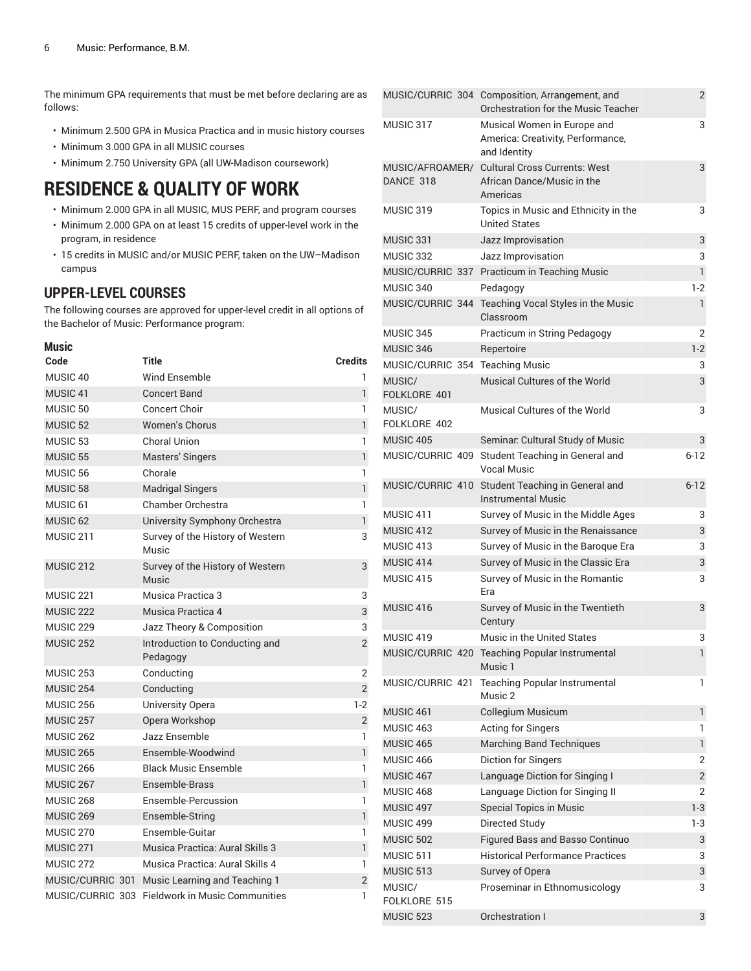The minimum GPA requirements that must be met before declaring are as follows:

- Minimum 2.500 GPA in Musica Practica and in music history courses
- Minimum 3.000 GPA in all MUSIC courses
- Minimum 2.750 University GPA (all UW-Madison coursework)

### **RESIDENCE & QUALITY OF WORK**

- Minimum 2.000 GPA in all MUSIC, MUS PERF, and program courses
- Minimum 2.000 GPA on at least 15 credits of upper-level work in the program, in residence
- 15 credits in MUSIC and/or MUSIC PERF, taken on the UW–Madison campus

#### **UPPER-LEVEL COURSES**

The following courses are approved for upper-level credit in all options of the Bachelor of Music: Performance program:

| <b>Music</b>         |                                            |                |
|----------------------|--------------------------------------------|----------------|
| Code                 | Title                                      | <b>Credits</b> |
| MUSIC 40             | <b>Wind Ensemble</b>                       | 1              |
| MUSIC <sub>41</sub>  | <b>Concert Band</b>                        | 1              |
| MUSIC <sub>50</sub>  | <b>Concert Choir</b>                       | 1              |
| MUSIC <sub>52</sub>  | <b>Women's Chorus</b>                      | $\mathbf{1}$   |
| MUSIC <sub>53</sub>  | Choral Union                               | 1              |
| MUSIC <sub>55</sub>  | <b>Masters' Singers</b>                    | $\mathbf{1}$   |
| MUSIC <sub>56</sub>  | Chorale                                    | 1              |
| MUSIC <sub>58</sub>  | <b>Madrigal Singers</b>                    | $\mathbf{1}$   |
| MUSIC <sub>61</sub>  | <b>Chamber Orchestra</b>                   | 1              |
| MUSIC <sub>62</sub>  | University Symphony Orchestra              | $\mathbf{1}$   |
| MUSIC <sub>211</sub> | Survey of the History of Western<br>Music  | 3              |
| MUSIC <sub>212</sub> | Survey of the History of Western<br>Music  | 3              |
| MUSIC 221            | Musica Practica 3                          | 3              |
| MUSIC <sub>222</sub> | Musica Practica 4                          | 3              |
| MUSIC <sub>229</sub> | Jazz Theory & Composition                  | 3              |
| <b>MUSIC 252</b>     | Introduction to Conducting and<br>Pedagogy | $\overline{2}$ |
| MUSIC <sub>253</sub> | Conducting                                 | $\overline{2}$ |
| <b>MUSIC 254</b>     | Conducting                                 | $\overline{2}$ |
| <b>MUSIC 256</b>     | University Opera                           | $1-2$          |
| MUSIC <sub>257</sub> | Opera Workshop                             | $\sqrt{2}$     |
| <b>MUSIC 262</b>     | Jazz Ensemble                              | $\mathbf{1}$   |
| <b>MUSIC 265</b>     | Ensemble-Woodwind                          | $\mathbf{1}$   |
| MUSIC 266            | <b>Black Music Ensemble</b>                | 1              |
| <b>MUSIC 267</b>     | Ensemble-Brass                             | $\mathbf{1}$   |
| <b>MUSIC 268</b>     | Ensemble-Percussion                        | 1              |
| MUSIC <sub>269</sub> | Ensemble-String                            | $\mathbf{1}$   |
| MUSIC <sub>270</sub> | Ensemble-Guitar                            | 1              |
| MUSIC <sub>271</sub> | Musica Practica: Aural Skills 3            | $\mathbf{1}$   |
| MUSIC <sub>272</sub> | Musica Practica: Aural Skills 4            | 1              |
| MUSIC/CURRIC 301     | Music Learning and Teaching 1              | $\overline{2}$ |
| MUSIC/CURRIC 303     | <b>Fieldwork in Music Communities</b>      | 1              |

|                        | MUSIC/CURRIC 304 Composition, Arrangement, and<br>Orchestration for the Music Teacher   | 2              |
|------------------------|-----------------------------------------------------------------------------------------|----------------|
| MUSIC 317              | Musical Women in Europe and<br>America: Creativity, Performance,<br>and Identity        | 3              |
| DANCE 318              | MUSIC/AFROAMER/ Cultural Cross Currents: West<br>African Dance/Music in the<br>Americas | 3              |
| MUSIC 319              | Topics in Music and Ethnicity in the<br><b>United States</b>                            | 3              |
| MUSIC 331              | Jazz Improvisation                                                                      | 3              |
| MUSIC 332              | Jazz Improvisation                                                                      | 3              |
|                        | MUSIC/CURRIC 337 Practicum in Teaching Music                                            | $\mathbf{1}$   |
| MUSIC 340              | Pedagogy                                                                                | $1-2$          |
|                        | MUSIC/CURRIC 344 Teaching Vocal Styles in the Music<br>Classroom                        | 1              |
| MUSIC 345              | Practicum in String Pedagogy                                                            | 2              |
| MUSIC 346              | Repertoire                                                                              | $1-2$          |
|                        | MUSIC/CURRIC 354 Teaching Music                                                         | 3              |
| MUSIC/<br>FOLKLORE 401 | Musical Cultures of the World                                                           | 3              |
| MUSIC/<br>FOLKLORE 402 | Musical Cultures of the World                                                           | 3              |
| MUSIC 405              | Seminar. Cultural Study of Music                                                        | 3              |
| MUSIC/CURRIC 409       | Student Teaching in General and<br><b>Vocal Music</b>                                   | $6 - 12$       |
|                        | MUSIC/CURRIC 410 Student Teaching in General and<br><b>Instrumental Music</b>           | $6 - 12$       |
| MUSIC 411              | Survey of Music in the Middle Ages                                                      | 3              |
| MUSIC 412              | Survey of Music in the Renaissance                                                      | 3              |
| MUSIC 413              | Survey of Music in the Baroque Era                                                      | 3              |
| MUSIC 414              | Survey of Music in the Classic Era                                                      | 3              |
| MUSIC 415              | Survey of Music in the Romantic<br>Era                                                  | 3              |
| MUSIC <sub>416</sub>   | Survey of Music in the Twentieth<br>Century                                             | 3              |
| MUSIC 419              | Music in the United States                                                              | 3              |
|                        | MUSIC/CURRIC 420 Teaching Popular Instrumental<br>Music 1                               | 1              |
| MUSIC/CURRIC 421       | <b>Teaching Popular Instrumental</b><br>Music 2                                         | 1              |
| MUSIC <sub>461</sub>   | <b>Collegium Musicum</b>                                                                | 1              |
| MUSIC 463              | Acting for Singers                                                                      | 1              |
| MUSIC 465              | <b>Marching Band Techniques</b>                                                         | 1              |
| <b>MUSIC 466</b>       | Diction for Singers                                                                     | 2              |
| MUSIC 467              | Language Diction for Singing I                                                          | $\overline{c}$ |
| <b>MUSIC 468</b>       | Language Diction for Singing II                                                         | $\overline{2}$ |
| MUSIC 497              | <b>Special Topics in Music</b>                                                          | $1-3$          |
| MUSIC 499              | Directed Study                                                                          | 1-3            |
| <b>MUSIC 502</b>       | Figured Bass and Basso Continuo                                                         | 3              |
| MUSIC 511              | <b>Historical Performance Practices</b>                                                 | 3              |
| MUSIC 513              | Survey of Opera                                                                         | 3              |
| MUSIC/                 | Proseminar in Ethnomusicology                                                           | 3              |
| FOLKLORE 515           |                                                                                         |                |
| <b>MUSIC 523</b>       | Orchestration I                                                                         | 3              |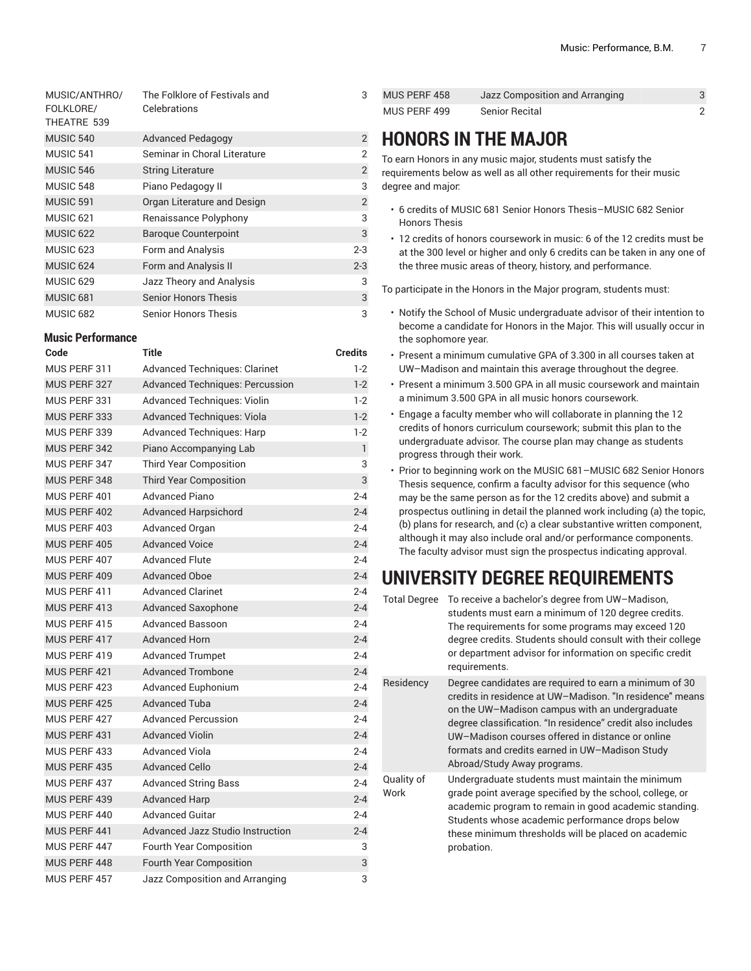| MUSIC/ANTHRO/<br>FOLKLORE/<br>THEATRE 539 | The Folklore of Festivals and<br>Celebrations | 3              |
|-------------------------------------------|-----------------------------------------------|----------------|
| MUSIC 540                                 | <b>Advanced Pedagogy</b>                      | 2              |
| MUSIC 541                                 | Seminar in Choral Literature                  | 2              |
| <b>MUSIC 546</b>                          | <b>String Literature</b>                      | $\overline{2}$ |
| MUSIC 548                                 | Piano Pedagogy II                             | 3              |
| MUSIC 591                                 | Organ Literature and Design                   | $\overline{2}$ |
| MUSIC <sub>621</sub>                      | Renaissance Polyphony                         | 3              |
| <b>MUSIC 622</b>                          | <b>Baroque Counterpoint</b>                   | 3              |
| MUSIC <sub>623</sub>                      | Form and Analysis                             | $2 - 3$        |
| MUSIC <sub>624</sub>                      | Form and Analysis II                          | $2 - 3$        |
| MUSIC 629                                 | Jazz Theory and Analysis                      | 3              |
| MUSIC <sub>681</sub>                      | <b>Senior Honors Thesis</b>                   | 3              |
| <b>MUSIC 682</b>                          | <b>Senior Honors Thesis</b>                   | 3              |

#### **Music Performance**

| Code         | Title                                  | <b>Credits</b> |
|--------------|----------------------------------------|----------------|
| MUS PERF 311 | <b>Advanced Techniques: Clarinet</b>   | $1-2$          |
| MUS PERF 327 | <b>Advanced Techniques: Percussion</b> | $1 - 2$        |
| MUS PERF 331 | Advanced Techniques: Violin            | $1-2$          |
| MUS PERF 333 | <b>Advanced Techniques: Viola</b>      | $1 - 2$        |
| MUS PERF 339 | Advanced Techniques: Harp              | $1-2$          |
| MUS PERF 342 | Piano Accompanying Lab                 | $\mathbf{1}$   |
| MUS PERF 347 | <b>Third Year Composition</b>          | 3              |
| MUS PERF 348 | <b>Third Year Composition</b>          | 3              |
| MUS PERF 401 | <b>Advanced Piano</b>                  | $2 - 4$        |
| MUS PERF 402 | <b>Advanced Harpsichord</b>            | $2 - 4$        |
| MUS PERF 403 | Advanced Organ                         | $2 - 4$        |
| MUS PERF 405 | <b>Advanced Voice</b>                  | $2 - 4$        |
| MUS PERF 407 | <b>Advanced Flute</b>                  | $2 - 4$        |
| MUS PERF 409 | <b>Advanced Oboe</b>                   | $2 - 4$        |
| MUS PERF 411 | <b>Advanced Clarinet</b>               | $2 - 4$        |
| MUS PERF 413 | <b>Advanced Saxophone</b>              | $2 - 4$        |
| MUS PERF 415 | <b>Advanced Bassoon</b>                | $2 - 4$        |
| MUS PERF 417 | <b>Advanced Horn</b>                   | $2 - 4$        |
| MUS PERF 419 | <b>Advanced Trumpet</b>                | $2 - 4$        |
| MUS PERF 421 | <b>Advanced Trombone</b>               | $2 - 4$        |
| MUS PERF 423 | Advanced Euphonium                     | $2 - 4$        |
| MUS PERF 425 | <b>Advanced Tuba</b>                   | $2 - 4$        |
| MUS PERF 427 | <b>Advanced Percussion</b>             | $2 - 4$        |
| MUS PERF 431 | <b>Advanced Violin</b>                 | $2 - 4$        |
| MUS PERF 433 | <b>Advanced Viola</b>                  | $2 - 4$        |
| MUS PERF 435 | <b>Advanced Cello</b>                  | $2 - 4$        |
| MUS PERF 437 | <b>Advanced String Bass</b>            | $2 - 4$        |
| MUS PERF 439 | <b>Advanced Harp</b>                   | $2 - 4$        |
| MUS PERF 440 | <b>Advanced Guitar</b>                 | $2 - 4$        |
| MUS PERF 441 | Advanced Jazz Studio Instruction       | $2 - 4$        |
| MUS PERF 447 | Fourth Year Composition                | 3              |
| MUS PERF 448 | <b>Fourth Year Composition</b>         | 3              |
| MUS PERF 457 | Jazz Composition and Arranging         | 3              |

| MUS PERF 458 | Jazz Composition and Arranging |  |
|--------------|--------------------------------|--|
| MUS PERF 499 | Senior Recital                 |  |

## **HONORS IN THE MAJOR**

To earn Honors in any music major, students must satisfy the requirements below as well as all other requirements for their music degree and major:

- 6 credits of MUSIC 681 Senior Honors Thesis–MUSIC 682 Senior Honors Thesis
- 12 credits of honors coursework in music: 6 of the 12 credits must be at the 300 level or higher and only 6 credits can be taken in any one of the three music areas of theory, history, and performance.

To participate in the Honors in the Major program, students must:

- Notify the School of Music undergraduate advisor of their intention to become a candidate for Honors in the Major. This will usually occur in the sophomore year.
- Present a minimum cumulative GPA of 3.300 in all courses taken at UW–Madison and maintain this average throughout the degree.
- Present a minimum 3.500 GPA in all music coursework and maintain a minimum 3.500 GPA in all music honors coursework.
- Engage a faculty member who will collaborate in planning the 12 credits of honors curriculum coursework; submit this plan to the undergraduate advisor. The course plan may change as students progress through their work.
- Prior to beginning work on the MUSIC 681–MUSIC 682 Senior Honors Thesis sequence, confirm a faculty advisor for this sequence (who may be the same person as for the 12 credits above) and submit a prospectus outlining in detail the planned work including (a) the topic, (b) plans for research, and (c) a clear substantive written component, although it may also include oral and/or performance components. The faculty advisor must sign the prospectus indicating approval.

## **UNIVERSITY DEGREE REQUIREMENTS**

| <b>Total Degree</b> | To receive a bachelor's degree from UW-Madison,<br>students must earn a minimum of 120 degree credits.<br>The requirements for some programs may exceed 120<br>degree credits. Students should consult with their college<br>or department advisor for information on specific credit<br>requirements.                                                                  |
|---------------------|-------------------------------------------------------------------------------------------------------------------------------------------------------------------------------------------------------------------------------------------------------------------------------------------------------------------------------------------------------------------------|
| Residency           | Degree candidates are required to earn a minimum of 30<br>credits in residence at UW-Madison. "In residence" means<br>on the UW-Madison campus with an undergraduate<br>degree classification. "In residence" credit also includes<br>UW-Madison courses offered in distance or online<br>formats and credits earned in UW-Madison Study<br>Abroad/Study Away programs. |
| Quality of<br>Work  | Undergraduate students must maintain the minimum<br>grade point average specified by the school, college, or<br>academic program to remain in good academic standing.<br>Students whose academic performance drops below<br>these minimum thresholds will be placed on academic<br>probation.                                                                           |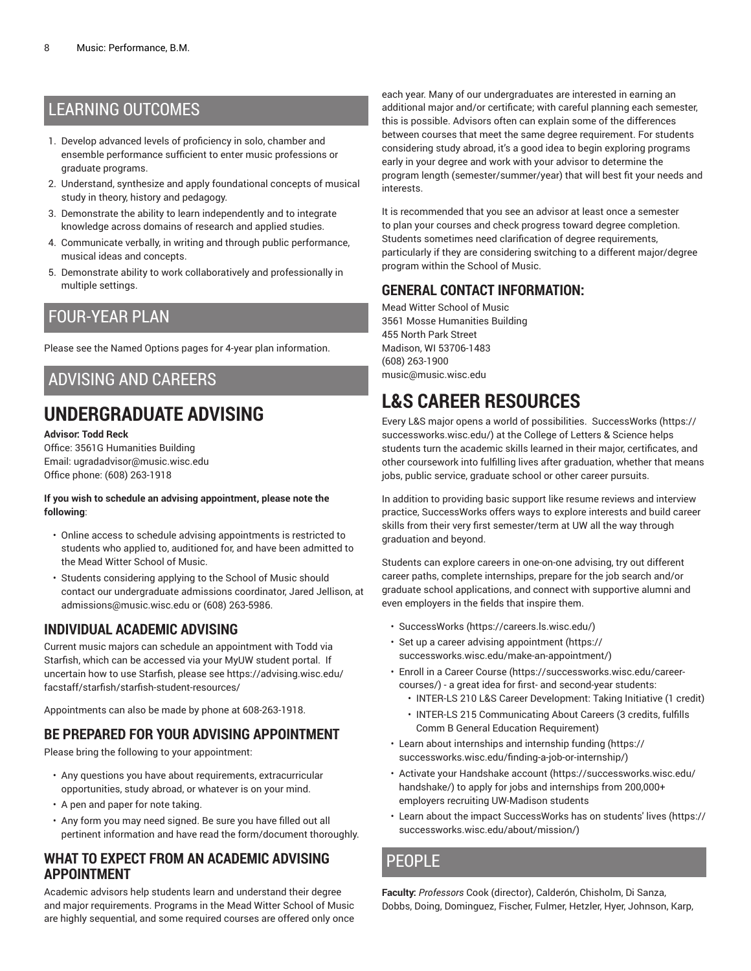### LEARNING OUTCOMES

- 1. Develop advanced levels of proficiency in solo, chamber and ensemble performance sufficient to enter music professions or graduate programs.
- 2. Understand, synthesize and apply foundational concepts of musical study in theory, history and pedagogy.
- 3. Demonstrate the ability to learn independently and to integrate knowledge across domains of research and applied studies.
- 4. Communicate verbally, in writing and through public performance, musical ideas and concepts.
- 5. Demonstrate ability to work collaboratively and professionally in multiple settings.

### FOUR-YEAR PLAN

Please see the Named Options pages for 4-year plan information.

### ADVISING AND CAREERS

## **UNDERGRADUATE ADVISING**

#### **Advisor: Todd Reck**

Office: 3561G Humanities Building Email: ugradadvisor@music.wisc.edu Office phone: (608) 263-1918

#### **If you wish to schedule an advising appointment, please note the following**:

- Online access to schedule advising appointments is restricted to students who applied to, auditioned for, and have been admitted to the Mead Witter School of Music.
- Students considering applying to the School of Music should contact our undergraduate admissions coordinator, Jared Jellison, at admissions@music.wisc.edu or (608) 263-5986.

#### **INDIVIDUAL ACADEMIC ADVISING**

Current music majors can schedule an appointment with Todd via Starfish, which can be accessed via your MyUW student portal. If uncertain how to use Starfish, please see [https://advising.wisc.edu/](https://advising.wisc.edu/facstaff/starfish/starfish-student-resources/) [facstaff/starfish/starfish-student-resources/](https://advising.wisc.edu/facstaff/starfish/starfish-student-resources/)

Appointments can also be made by phone at 608-263-1918.

### **BE PREPARED FOR YOUR ADVISING APPOINTMENT**

Please bring the following to your appointment:

- Any questions you have about requirements, extracurricular opportunities, study abroad, or whatever is on your mind.
- A pen and paper for note taking.
- Any form you may need signed. Be sure you have filled out all pertinent information and have read the form/document thoroughly.

#### **WHAT TO EXPECT FROM AN ACADEMIC ADVISING APPOINTMENT**

Academic advisors help students learn and understand their degree and major requirements. Programs in the Mead Witter School of Music are highly sequential, and some required courses are offered only once

each year. Many of our undergraduates are interested in earning an additional major and/or certificate; with careful planning each semester, this is possible. Advisors often can explain some of the differences between courses that meet the same degree requirement. For students considering study abroad, it's a good idea to begin exploring programs early in your degree and work with your advisor to determine the program length (semester/summer/year) that will best fit your needs and interests.

It is recommended that you see an advisor at least once a semester to plan your courses and check progress toward degree completion. Students sometimes need clarification of degree requirements, particularly if they are considering switching to a different major/degree program within the School of Music.

#### **GENERAL CONTACT INFORMATION:**

Mead Witter School of Music 3561 Mosse Humanities Building 455 North Park Street Madison, WI 53706-1483 (608) 263-1900 music@music.wisc.edu

## **L&S CAREER RESOURCES**

Every L&S major opens a world of possibilities. [SuccessWorks \(https://](https://successworks.wisc.edu/) [successworks.wisc.edu/](https://successworks.wisc.edu/)) at the College of Letters & Science helps students turn the academic skills learned in their major, certificates, and other coursework into fulfilling lives after graduation, whether that means jobs, public service, graduate school or other career pursuits.

In addition to providing basic support like resume reviews and interview practice, SuccessWorks offers ways to explore interests and build career skills from their very first semester/term at UW all the way through graduation and beyond.

Students can explore careers in one-on-one advising, try out different career paths, complete internships, prepare for the job search and/or graduate school applications, and connect with supportive alumni and even employers in the fields that inspire them.

- [SuccessWorks](https://careers.ls.wisc.edu/) [\(https://careers.ls.wisc.edu/\)](https://careers.ls.wisc.edu/)
- Set up a career advising [appointment](https://successworks.wisc.edu/make-an-appointment/) ([https://](https://successworks.wisc.edu/make-an-appointment/) [successworks.wisc.edu/make-an-appointment/](https://successworks.wisc.edu/make-an-appointment/))
- Enroll in a Career [Course](https://successworks.wisc.edu/career-courses/) ([https://successworks.wisc.edu/career](https://successworks.wisc.edu/career-courses/)[courses/](https://successworks.wisc.edu/career-courses/)) - a great idea for first- and second-year students:
	- INTER-LS 210 L&S Career Development: Taking Initiative (1 credit)
	- INTER-LS 215 Communicating About Careers (3 credits, fulfills Comm B General Education Requirement)
- [Learn about internships and internship funding \(https://](https://successworks.wisc.edu/finding-a-job-or-internship/) [successworks.wisc.edu/finding-a-job-or-internship/\)](https://successworks.wisc.edu/finding-a-job-or-internship/)
- Activate your [Handshake](https://successworks.wisc.edu/handshake/) account [\(https://successworks.wisc.edu/](https://successworks.wisc.edu/handshake/) [handshake/](https://successworks.wisc.edu/handshake/)) to apply for jobs and internships from 200,000+ employers recruiting UW-Madison students
- Learn about the impact [SuccessWorks](https://successworks.wisc.edu/about/mission/) has on students' lives [\(https://](https://successworks.wisc.edu/about/mission/) [successworks.wisc.edu/about/mission/](https://successworks.wisc.edu/about/mission/))

### PEOPLE

**Faculty:** *Professors* Cook (director), Calderón, Chisholm, Di Sanza, Dobbs, Doing, Dominguez, Fischer, Fulmer, Hetzler, Hyer, Johnson, Karp,